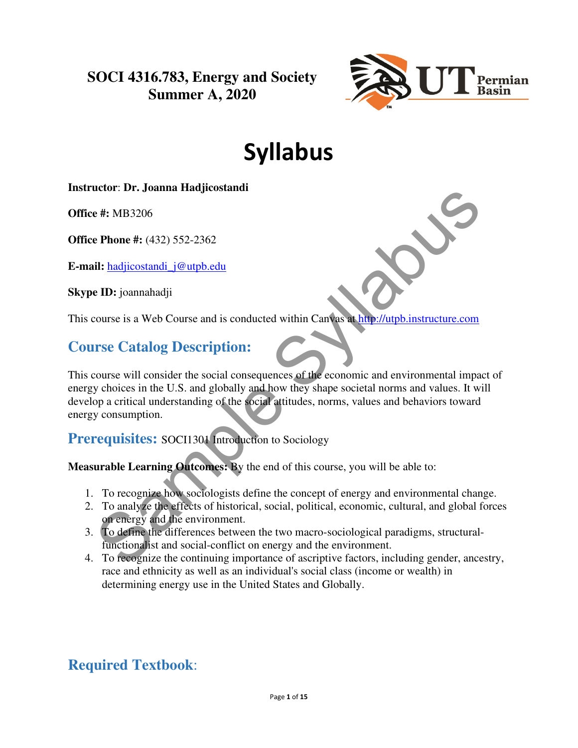**SOCI 4316.783, Energy and Society Summer A, 2020**



# Syllabus

#### **Instructor**: **Dr. Joanna Hadjicostandi**

**Office #:** MB3206

**Office Phone #:** (432) 552-2362

**E-mail:** hadjicostandi\_j@utpb.edu

**Skype ID:** joannahadji

This course is a Web Course and is conducted within Canvas at http://utpb.instructure.com

### **Course Catalog Description:**

This course will consider the social consequences of the economic and environmental impact of energy choices in the U.S. and globally and how they shape societal norms and values. It will develop a critical understanding of the social attitudes, norms, values and behaviors toward energy consumption. e *H*. MB3206<br> **E Phone #:** (432) 552-2362<br> **E Phone #:** (432) 552-2362<br> **II:** hadjicostandi j@utpb.edu<br> **ID:** joannahadji<br>
course is a Web Course and is conducted within Campas at the *Nutpb* instructure.com<br> **ITSE Catalo** 

**Prerequisites:** SOCI1301 Introduction to Sociology

**Measurable Learning Outcomes:** By the end of this course, you will be able to:

- 1. To recognize how sociologists define the concept of energy and environmental change.
- 2. To analyze the effects of historical, social, political, economic, cultural, and global forces on energy and the environment.
- 3. To define the differences between the two macro-sociological paradigms, structuralfunctionalist and social-conflict on energy and the environment.
- 4. To recognize the continuing importance of ascriptive factors, including gender, ancestry, race and ethnicity as well as an individual's social class (income or wealth) in determining energy use in the United States and Globally.

### **Required Textbook**: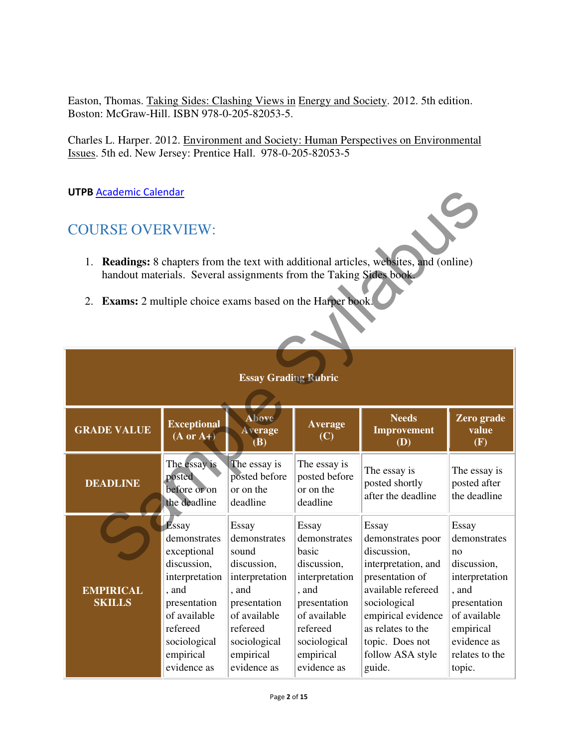Easton, Thomas. Taking Sides: Clashing Views in Energy and Society. 2012. 5th edition. Boston: McGraw-Hill. ISBN 978-0-205-82053-5.

Charles L. Harper. 2012. Environment and Society: Human Perspectives on Environmental Issues. 5th ed. New Jersey: Prentice Hall. 978-0-205-82053-5

UTPB Academic Calendar

### COURSE OVERVIEW:

- 1. **Readings:** 8 chapters from the text with additional articles, websites, and (online) handout materials. Several assignments from the Taking Sides book.
- 2. **Exams:** 2 multiple choice exams based on the Harper book.

| <b>UTPB Academic Calendar</b>                                                                                                                                                                                                                          |                                                                                                                                                                        |                                                                                                                                                                  |                                                                                                                                                                         |                                                                                                                                                                                                                       |                                                                                                                                                               |
|--------------------------------------------------------------------------------------------------------------------------------------------------------------------------------------------------------------------------------------------------------|------------------------------------------------------------------------------------------------------------------------------------------------------------------------|------------------------------------------------------------------------------------------------------------------------------------------------------------------|-------------------------------------------------------------------------------------------------------------------------------------------------------------------------|-----------------------------------------------------------------------------------------------------------------------------------------------------------------------------------------------------------------------|---------------------------------------------------------------------------------------------------------------------------------------------------------------|
| <b>COURSE OVERVIEW:</b><br>1. Readings: 8 chapters from the text with additional articles, websites, and (online)<br>handout materials. Several assignments from the Taking Sides book.<br>2. Exams: 2 multiple choice exams based on the Harper book. |                                                                                                                                                                        |                                                                                                                                                                  |                                                                                                                                                                         |                                                                                                                                                                                                                       |                                                                                                                                                               |
| <b>Essay Grading Rubric</b>                                                                                                                                                                                                                            |                                                                                                                                                                        |                                                                                                                                                                  |                                                                                                                                                                         |                                                                                                                                                                                                                       |                                                                                                                                                               |
| <b>GRADE VALUE</b>                                                                                                                                                                                                                                     | <b>Exceptional</b><br>$(A \text{ or } A+)$                                                                                                                             | Above<br><b>Average</b><br>(B)                                                                                                                                   | <b>Average</b><br>(C)                                                                                                                                                   | <b>Needs</b><br>Improvement<br>(D)                                                                                                                                                                                    | Zero grade<br>value<br>(F)                                                                                                                                    |
| <b>DEADLINE</b>                                                                                                                                                                                                                                        | The essay is<br>posted<br>before or on<br>the deadline                                                                                                                 | The essay is<br>posted before<br>or on the<br>deadline                                                                                                           | The essay is<br>posted before<br>or on the<br>deadline                                                                                                                  | The essay is<br>posted shortly<br>after the deadline                                                                                                                                                                  | The essay is<br>posted after<br>the deadline                                                                                                                  |
| <b>EMPIRICAL</b><br><b>SKILLS</b>                                                                                                                                                                                                                      | Essay<br>demonstrates<br>exceptional<br>discussion,<br>interpretation<br>, and<br>presentation<br>of available<br>refereed<br>sociological<br>empirical<br>evidence as | Essay<br>demonstrates<br>sound<br>discussion,<br>interpretation<br>, and<br>presentation<br>of available<br>refereed<br>sociological<br>empirical<br>evidence as | <b>Essay</b><br>demonstrates<br>basic<br>discussion,<br>interpretation<br>, and<br>presentation<br>of available<br>refereed<br>sociological<br>empirical<br>evidence as | Essay<br>demonstrates poor<br>discussion,<br>interpretation, and<br>presentation of<br>available refereed<br>sociological<br>empirical evidence<br>as relates to the<br>topic. Does not<br>follow ASA style<br>guide. | Essay<br>demonstrates<br>no<br>discussion,<br>interpretation<br>, and<br>presentation<br>of available<br>empirical<br>evidence as<br>relates to the<br>topic. |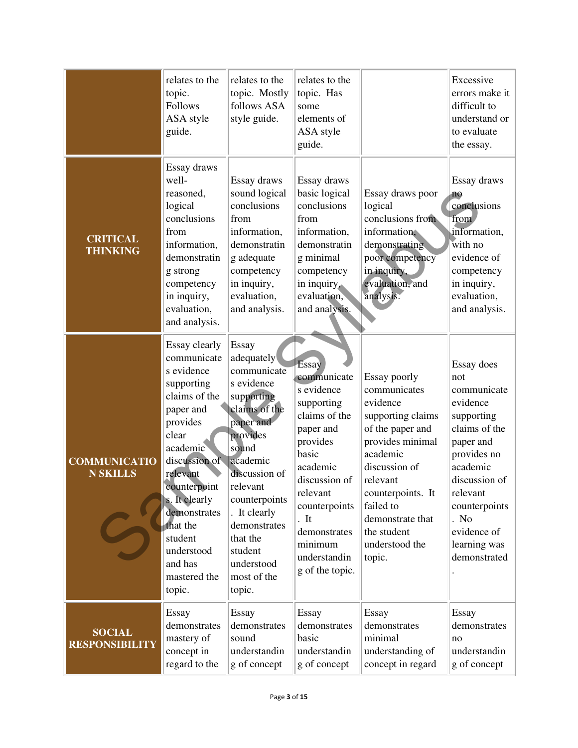|                                        | relates to the<br>topic.<br><b>Follows</b><br>ASA style<br>guide.                                                                                                                                                                                                               | relates to the<br>topic. Mostly<br>follows ASA<br>style guide.                                                                                                                                                                                                            | relates to the<br>topic. Has<br>some<br>elements of<br>ASA style<br>guide.                                                                                                                                                        |                                                                                                                                                                                                                                                 | Excessive<br>errors make it<br>difficult to<br>understand or<br>to evaluate<br>the essay.                                                                                                                                |
|----------------------------------------|---------------------------------------------------------------------------------------------------------------------------------------------------------------------------------------------------------------------------------------------------------------------------------|---------------------------------------------------------------------------------------------------------------------------------------------------------------------------------------------------------------------------------------------------------------------------|-----------------------------------------------------------------------------------------------------------------------------------------------------------------------------------------------------------------------------------|-------------------------------------------------------------------------------------------------------------------------------------------------------------------------------------------------------------------------------------------------|--------------------------------------------------------------------------------------------------------------------------------------------------------------------------------------------------------------------------|
| <b>CRITICAL</b><br><b>THINKING</b>     | Essay draws<br>well-<br>reasoned,<br>logical<br>conclusions<br>from<br>information,<br>demonstratin<br>g strong<br>competency<br>in inquiry,<br>evaluation,<br>and analysis.                                                                                                    | Essay draws<br>sound logical<br>conclusions<br>from<br>information,<br>demonstratin<br>g adequate<br>competency<br>in inquiry,<br>evaluation,<br>and analysis.                                                                                                            | Essay draws<br>basic logical<br>conclusions<br>from<br>information,<br>demonstratin<br>g minimal<br>competency<br>in inquiry,<br>evaluation,<br>and analysis.                                                                     | Essay draws poor<br>logical<br>conclusions from<br>information,<br>demonstrating<br>poor competency<br>in inquiry,<br>evaluation, and<br>analysis.                                                                                              | Essay draws<br>no<br>conclusions<br>from<br>information,<br>with no<br>evidence of<br>competency<br>in inquiry,<br>evaluation,<br>and analysis.                                                                          |
| <b>COMMUNICATIO</b><br><b>N SKILLS</b> | Essay clearly<br>communicate<br>s evidence<br>supporting<br>claims of the<br>paper and<br>provides<br>clear<br>academic<br>discussion of<br>relevant<br>counterpoint<br>s. It clearly<br>demonstrates<br>that the<br>student<br>understood<br>and has<br>mastered the<br>topic. | Essay<br>adequately<br>communicate<br>s evidence<br>supporting<br>claims of the<br>paper and<br>provides<br>sound<br>academic<br>discussion of<br>relevant<br>counterpoints<br>. It clearly<br>demonstrates<br>that the<br>student<br>understood<br>most of the<br>topic. | Essay<br>communicate<br>s evidence<br>supporting<br>claims of the<br>paper and<br>provides<br>basic<br>academic<br>discussion of<br>relevant<br>counterpoints<br>It<br>demonstrates<br>minimum<br>understandin<br>g of the topic. | Essay poorly<br>communicates<br>evidence<br>supporting claims<br>of the paper and<br>provides minimal<br>academic<br>discussion of<br>relevant<br>counterpoints. It<br>failed to<br>demonstrate that<br>the student<br>understood the<br>topic. | Essay does<br>not<br>communicate<br>evidence<br>supporting<br>claims of the<br>paper and<br>provides no<br>academic<br>discussion of<br>relevant<br>counterpoints<br>. No<br>evidence of<br>learning was<br>demonstrated |
| <b>SOCIAL</b><br><b>RESPONSIBILITY</b> | Essay<br>demonstrates<br>mastery of<br>concept in<br>regard to the                                                                                                                                                                                                              | Essay<br>demonstrates<br>sound<br>understandin<br>g of concept                                                                                                                                                                                                            | Essay<br>demonstrates<br>basic<br>understandin<br>g of concept                                                                                                                                                                    | Essay<br>demonstrates<br>minimal<br>understanding of<br>concept in regard                                                                                                                                                                       | Essay<br>demonstrates<br>no<br>understandin<br>g of concept                                                                                                                                                              |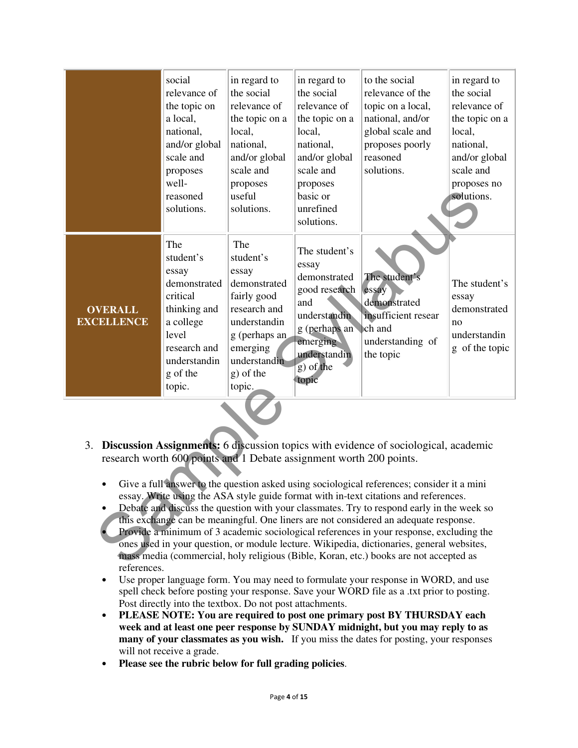|                                                                                                                                                                                                                                                                                                                                                                                                                                                                                                                                                                                                                                                                                                                                                                                                                                              | social<br>relevance of<br>the topic on<br>a local,<br>national,<br>and/or global<br>scale and<br>proposes<br>well-<br>reasoned<br>solutions.      | in regard to<br>the social<br>relevance of<br>the topic on a<br>local,<br>national,<br>and/or global<br>scale and<br>proposes<br>useful<br>solutions.        | in regard to<br>the social<br>relevance of<br>the topic on a<br>local,<br>national,<br>and/or global<br>scale and<br>proposes<br>basic or<br>unrefined<br>solutions. | to the social<br>relevance of the<br>topic on a local,<br>national, and/or<br>global scale and<br>proposes poorly<br>reasoned<br>solutions. | in regard to<br>the social<br>relevance of<br>the topic on a<br>local,<br>national,<br>and/or global<br>scale and<br>proposes no<br>solutions. |
|----------------------------------------------------------------------------------------------------------------------------------------------------------------------------------------------------------------------------------------------------------------------------------------------------------------------------------------------------------------------------------------------------------------------------------------------------------------------------------------------------------------------------------------------------------------------------------------------------------------------------------------------------------------------------------------------------------------------------------------------------------------------------------------------------------------------------------------------|---------------------------------------------------------------------------------------------------------------------------------------------------|--------------------------------------------------------------------------------------------------------------------------------------------------------------|----------------------------------------------------------------------------------------------------------------------------------------------------------------------|---------------------------------------------------------------------------------------------------------------------------------------------|------------------------------------------------------------------------------------------------------------------------------------------------|
| <b>OVERALL</b><br><b>EXCELLENCE</b>                                                                                                                                                                                                                                                                                                                                                                                                                                                                                                                                                                                                                                                                                                                                                                                                          | The<br>student's<br>essay<br>demonstrated<br>critical<br>thinking and<br>a college<br>level<br>research and<br>understandin<br>g of the<br>topic. | The<br>student's<br>essay<br>demonstrated<br>fairly good<br>research and<br>understandin<br>g (perhaps an<br>emerging<br>understandin<br>g) of the<br>topic. | The student's<br>essay<br>demonstrated<br>good research<br>and<br>understandin<br>g (perhaps an<br>emerging<br>understandin<br>$g$ ) of the<br>topic                 | The student's<br>essay<br>demonstrated<br>insufficient resear<br>ch and<br>understanding of<br>the topic                                    | The student's<br>essay<br>demonstrated<br>no<br>understandin<br>g of the topic                                                                 |
| Discussion Assignments: 6 discussion topics with evidence of sociological, academic<br>3.<br>research worth 600 points and 1 Debate assignment worth 200 points.<br>Give a full answer to the question asked using sociological references; consider it a mini<br>essay. Write using the ASA style guide format with in-text citations and references.<br>Debate and discuss the question with your classmates. Try to respond early in the week so<br>this exchange can be meaningful. One liners are not considered an adequate response.<br>Provide a minimum of 3 academic sociological references in your response, excluding the<br>ones used in your question, or module lecture. Wikipedia, dictionaries, general websites,<br>mass media (commercial, holy religious (Bible, Koran, etc.) books are not accepted as<br>$\mathbf{r}$ |                                                                                                                                                   |                                                                                                                                                              |                                                                                                                                                                      |                                                                                                                                             |                                                                                                                                                |

- 3. **Discussion Assignments:** 6 discussion topics with evidence of sociological, academic research worth 600 points and 1 Debate assignment worth 200 points.
	- Give a full answer to the question asked using sociological references; consider it a mini essay. Write using the ASA style guide format with in-text citations and references.
	- Debate and discuss the question with your classmates. Try to respond early in the week so this exchange can be meaningful. One liners are not considered an adequate response.
	- Provide a minimum of 3 academic sociological references in your response, excluding the ones used in your question, or module lecture. Wikipedia, dictionaries, general websites, mass media (commercial, holy religious (Bible, Koran, etc.) books are not accepted as references.
	- Use proper language form. You may need to formulate your response in WORD, and use spell check before posting your response. Save your WORD file as a .txt prior to posting. Post directly into the textbox. Do not post attachments.
	- **PLEASE NOTE: You are required to post one primary post BY THURSDAY each week and at least one peer response by SUNDAY midnight, but you may reply to as many of your classmates as you wish.** If you miss the dates for posting, your responses will not receive a grade.
	- **Please see the rubric below for full grading policies**.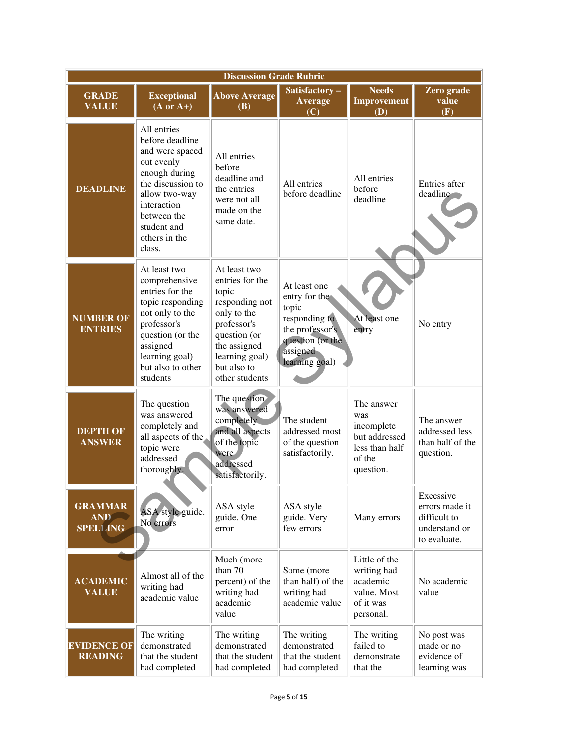| <b>Discussion Grade Rubric</b>                  |                                                                                                                                                                                                |                                                                                                                                                                             |                                                                                                                              |                                                                                           |                                                                              |
|-------------------------------------------------|------------------------------------------------------------------------------------------------------------------------------------------------------------------------------------------------|-----------------------------------------------------------------------------------------------------------------------------------------------------------------------------|------------------------------------------------------------------------------------------------------------------------------|-------------------------------------------------------------------------------------------|------------------------------------------------------------------------------|
| <b>GRADE</b><br><b>VALUE</b>                    | <b>Exceptional</b><br>$(A \text{ or } A+)$                                                                                                                                                     | <b>Above Average</b><br><b>(B)</b>                                                                                                                                          | Satisfactory-<br>Average<br>(C)                                                                                              | <b>Needs</b><br><b>Improvement</b><br><b>(D)</b>                                          | Zero grade<br>value<br>(F)                                                   |
| <b>DEADLINE</b>                                 | All entries<br>before deadline<br>and were spaced<br>out evenly<br>enough during<br>the discussion to<br>allow two-way<br>interaction<br>between the<br>student and<br>others in the<br>class. | All entries<br>before<br>deadline and<br>the entries<br>were not all<br>made on the<br>same date.                                                                           | All entries<br>before deadline                                                                                               | All entries<br>hefore<br>deadline                                                         | Entries after<br>deadline                                                    |
| <b>NUMBER OF</b><br><b>ENTRIES</b>              | At least two<br>comprehensive<br>entries for the<br>topic responding<br>not only to the<br>professor's<br>question (or the<br>assigned<br>learning goal)<br>but also to other<br>students      | At least two<br>entries for the<br>topic<br>responding not<br>only to the<br>professor's<br>question (or<br>the assigned<br>learning goal)<br>but also to<br>other students | At least one<br>entry for the<br>topic<br>responding to<br>the professor's<br>question (or the<br>assigned<br>learning goal) | At least one<br>entry                                                                     | No entry                                                                     |
| <b>DEPTH OF</b><br><b>ANSWER</b>                | The question<br>was answered<br>completely and<br>all aspects of the<br>topic were<br>addressed<br>thoroughly.                                                                                 | The question<br>was answered<br>completely<br>and all aspects<br>of the topic<br>were<br>addressed<br>satisfactorily.                                                       | The student<br>addressed most<br>of the question<br>satisfactorily.                                                          | The answer<br>was<br>incomplete<br>but addressed<br>less than half<br>of the<br>question. | The answer<br>addressed less<br>than half of the<br>question.                |
| <b>GRAMMAR</b><br><b>AND</b><br><b>SPELLING</b> | ASA style guide.<br>No errors                                                                                                                                                                  | ASA style<br>guide. One<br>error                                                                                                                                            | ASA style<br>guide. Very<br>few errors                                                                                       | Many errors                                                                               | Excessive<br>errors made it<br>difficult to<br>understand or<br>to evaluate. |
| <b>ACADEMIC</b><br><b>VALUE</b>                 | Almost all of the<br>writing had<br>academic value                                                                                                                                             | Much (more<br>than 70<br>percent) of the<br>writing had<br>academic<br>value                                                                                                | Some (more<br>than half) of the<br>writing had<br>academic value                                                             | Little of the<br>writing had<br>academic<br>value. Most<br>of it was<br>personal.         | No academic<br>value                                                         |
| <b>EVIDENCE OF</b><br><b>READING</b>            | The writing<br>demonstrated<br>that the student<br>had completed                                                                                                                               | The writing<br>demonstrated<br>that the student<br>had completed                                                                                                            | The writing<br>demonstrated<br>that the student<br>had completed                                                             | The writing<br>failed to<br>demonstrate<br>that the                                       | No post was<br>made or no<br>evidence of<br>learning was                     |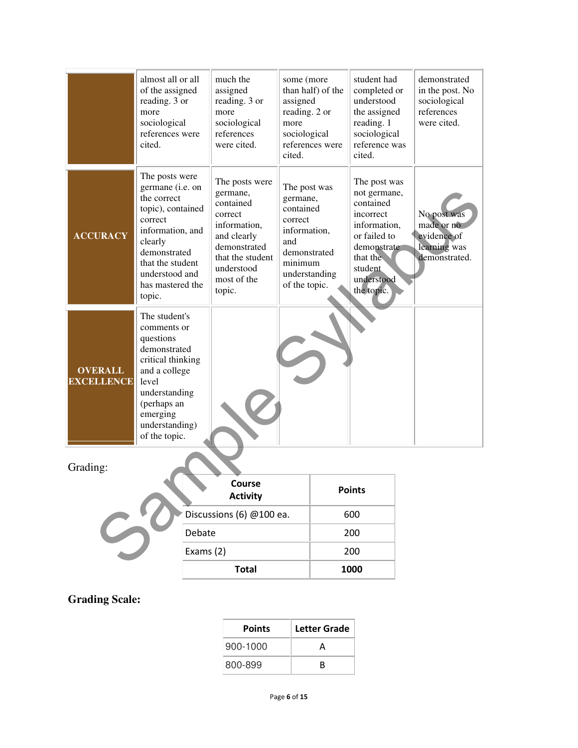|                                     | almost all or all<br>of the assigned<br>reading. 3 or<br>more<br>sociological<br>references were<br>cited.                                                                                           | much the<br>assigned<br>reading. 3 or<br>more<br>sociological<br>references<br>were cited.                                                                   | some (more<br>assigned<br>reading. 2 or<br>more<br>sociological<br>cited.                                                            | than half) of the<br>references were | student had<br>completed or<br>understood<br>the assigned<br>reading. 1<br>sociological<br>reference was<br>cited.                                       | demonstrated<br>in the post. No<br>sociological<br>references<br>were cited. |
|-------------------------------------|------------------------------------------------------------------------------------------------------------------------------------------------------------------------------------------------------|--------------------------------------------------------------------------------------------------------------------------------------------------------------|--------------------------------------------------------------------------------------------------------------------------------------|--------------------------------------|----------------------------------------------------------------------------------------------------------------------------------------------------------|------------------------------------------------------------------------------|
| <b>ACCURACY</b>                     | The posts were<br>germane (i.e. on<br>the correct<br>topic), contained<br>correct<br>information, and<br>clearly<br>demonstrated<br>that the student<br>understood and<br>has mastered the<br>topic. | The posts were<br>germane,<br>contained<br>correct<br>information,<br>and clearly<br>demonstrated<br>that the student<br>understood<br>most of the<br>topic. | The post was<br>germane,<br>contained<br>correct<br>information,<br>and<br>demonstrated<br>minimum<br>understanding<br>of the topic. |                                      | The post was<br>not germane,<br>contained<br>incorrect<br>information,<br>or failed to<br>demonstrate<br>that the<br>student<br>understood<br>the topic. | No post was<br>made or no<br>evidence of<br>learning was<br>demonstrated.    |
| <b>OVERALL</b><br><b>EXCELLENCE</b> | The student's<br>comments or<br>questions<br>demonstrated<br>critical thinking<br>and a college<br>level<br>understanding<br>(perhaps an<br>emerging<br>understanding)<br>of the topic.              |                                                                                                                                                              |                                                                                                                                      |                                      |                                                                                                                                                          |                                                                              |
| Grading:                            |                                                                                                                                                                                                      | <b>Course</b>                                                                                                                                                |                                                                                                                                      |                                      | <b>Points</b>                                                                                                                                            |                                                                              |
|                                     |                                                                                                                                                                                                      | <b>Activity</b>                                                                                                                                              |                                                                                                                                      |                                      |                                                                                                                                                          |                                                                              |
|                                     |                                                                                                                                                                                                      | Discussions (6) @100 ea.                                                                                                                                     |                                                                                                                                      |                                      | 600                                                                                                                                                      |                                                                              |
|                                     | Debate<br>Exams (2)                                                                                                                                                                                  |                                                                                                                                                              |                                                                                                                                      |                                      | 200<br>200                                                                                                                                               |                                                                              |
|                                     |                                                                                                                                                                                                      |                                                                                                                                                              |                                                                                                                                      |                                      |                                                                                                                                                          |                                                                              |

#### Grading:

| J | Course<br><b>Activity</b> | <b>Points</b> |
|---|---------------------------|---------------|
|   | Discussions (6) @100 ea.  | 600           |
|   | Debate                    | 200           |
|   | Exams $(2)$               | 200           |
|   | <b>Total</b>              | 1000          |

#### **Grading Scale:**

| <b>Points</b> | Letter Grade |
|---------------|--------------|
| 900-1000      | A            |
| 800-899       | R            |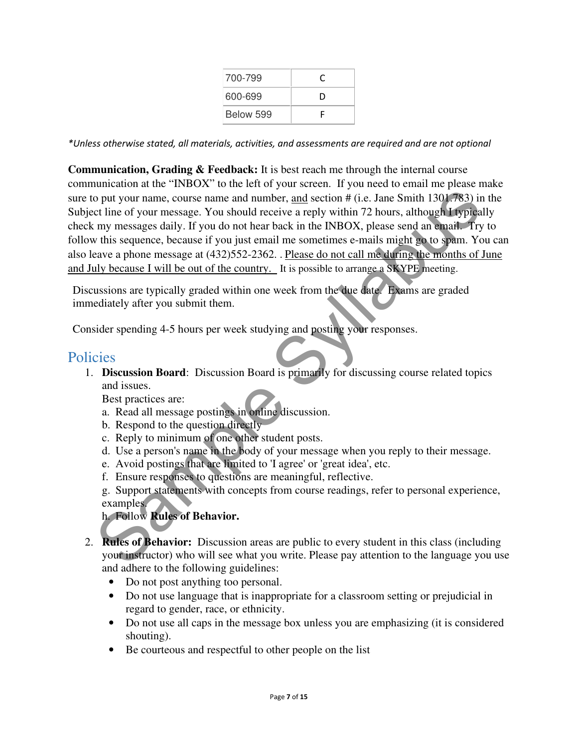| 700-799   |   |
|-----------|---|
| 600-699   | D |
| Below 599 |   |

\*Unless otherwise stated, all materials, activities, and assessments are required and are not optional

**Communication, Grading & Feedback:** It is best reach me through the internal course communication at the "INBOX" to the left of your screen. If you need to email me please make sure to put your name, course name and number, and section # (i.e. Jane Smith 1301.783) in the Subject line of your message. You should receive a reply within 72 hours, although I typically check my messages daily. If you do not hear back in the INBOX, please send an email. Try to follow this sequence, because if you just email me sometimes e-mails might go to spam. You can also leave a phone message at (432)552-2362. . Please do not call me during the months of June and July because I will be out of the country. It is possible to arrange a SKYPE meeting. o put your name, course name and number, <u>and</u> section # (i.e. Jane Smith 1301.783) in<br>
the of your message. You should receive a reply within 72 hours, although 1 typica<br>
my messages daily. If you do not hear box in the I

Discussions are typically graded within one week from the due date. Exams are graded immediately after you submit them.

Consider spending 4-5 hours per week studying and posting your responses.

#### **Policies**

1. **Discussion Board**: Discussion Board is primarily for discussing course related topics and issues.

Best practices are:

- a. Read all message postings in online discussion.
- b. Respond to the question directly
- c. Reply to minimum of one other student posts.
- d. Use a person's name in the body of your message when you reply to their message.
- e. Avoid postings that are limited to 'I agree' or 'great idea', etc.
- f. Ensure responses to questions are meaningful, reflective.
- g. Support statements with concepts from course readings, refer to personal experience, examples.

#### h. Follow **Rules of Behavior.**

- 2. **Rules of Behavior:** Discussion areas are public to every student in this class (including your instructor) who will see what you write. Please pay attention to the language you use and adhere to the following guidelines:
	- Do not post anything too personal.
	- Do not use language that is inappropriate for a classroom setting or prejudicial in regard to gender, race, or ethnicity.
	- Do not use all caps in the message box unless you are emphasizing (it is considered shouting).
	- Be courteous and respectful to other people on the list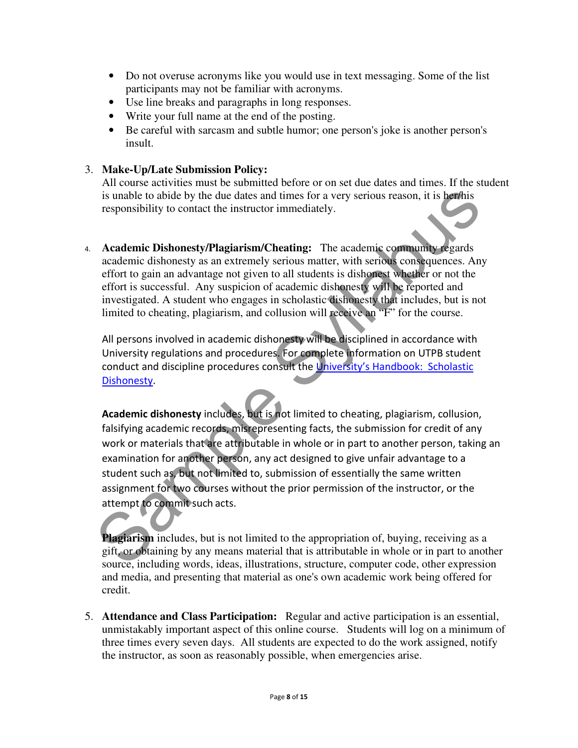- Do not overuse acronyms like you would use in text messaging. Some of the list participants may not be familiar with acronyms.
- Use line breaks and paragraphs in long responses.
- Write your full name at the end of the posting.
- Be careful with sarcasm and subtle humor; one person's joke is another person's insult.

#### 3. **Make-Up/Late Submission Policy:**

All course activities must be submitted before or on set due dates and times. If the student is unable to abide by the due dates and times for a very serious reason, it is her/his responsibility to contact the instructor immediately.

4. **Academic Dishonesty/Plagiarism/Cheating:** The academic community regards academic dishonesty as an extremely serious matter, with serious consequences. Any effort to gain an advantage not given to all students is dishonest whether or not the effort is successful. Any suspicion of academic dishonesty will be reported and investigated. A student who engages in scholastic dishonesty that includes, but is not limited to cheating, plagiarism, and collusion will receive an "F" for the course.

All persons involved in academic dishonesty will be disciplined in accordance with University regulations and procedures. For complete information on UTPB student conduct and discipline procedures consult the University's Handbook: Scholastic Dishonesty.

Academic dishonesty includes, but is not limited to cheating, plagiarism, collusion, falsifying academic records, misrepresenting facts, the submission for credit of any work or materials that are attributable in whole or in part to another person, taking an examination for another person, any act designed to give unfair advantage to a student such as, but not limited to, submission of essentially the same written assignment for two courses without the prior permission of the instructor, or the attempt to commit such acts. is unable to abide by the due dates and times for a very serious reason, it is **here**<br>
is responsibility to contact the instructor immediately.<br> **Academic Dishonesty/Plagiarism/Cheating:** The academic community regards<br>
ac

**Plagiarism** includes, but is not limited to the appropriation of, buying, receiving as a gift, or obtaining by any means material that is attributable in whole or in part to another source, including words, ideas, illustrations, structure, computer code, other expression and media, and presenting that material as one's own academic work being offered for credit.

5. **Attendance and Class Participation:** Regular and active participation is an essential, unmistakably important aspect of this online course. Students will log on a minimum of three times every seven days. All students are expected to do the work assigned, notify the instructor, as soon as reasonably possible, when emergencies arise.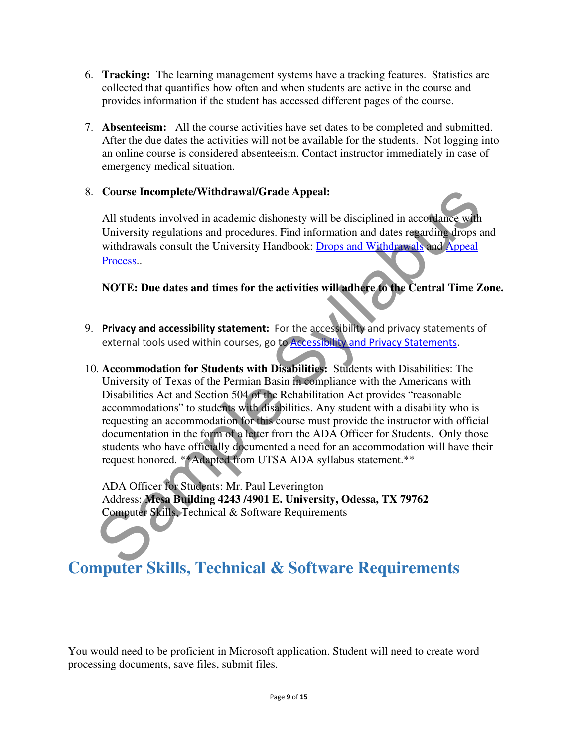- 6. **Tracking:** The learning management systems have a tracking features. Statistics are collected that quantifies how often and when students are active in the course and provides information if the student has accessed different pages of the course.
- 7. **Absenteeism:** All the course activities have set dates to be completed and submitted. After the due dates the activities will not be available for the students. Not logging into an online course is considered absenteeism. Contact instructor immediately in case of emergency medical situation.

#### 8. **Course Incomplete/Withdrawal/Grade Appeal:**

All students involved in academic dishonesty will be disciplined in accordance with University regulations and procedures. Find information and dates regarding drops and withdrawals consult the University Handbook: Drops and Withdrawals and Appeal Process..

**NOTE: Due dates and times for the activities will adhere to the Central Time Zone.** 

- 9. Privacy and accessibility statement: For the accessibility and privacy statements of external tools used within courses, go to **Accessibility and Privacy Statements**.
- 10. **Accommodation for Students with Disabilities:** Students with Disabilities: The University of Texas of the Permian Basin in compliance with the Americans with Disabilities Act and Section 504 of the Rehabilitation Act provides "reasonable accommodations" to students with disabilities. Any student with a disability who is requesting an accommodation for this course must provide the instructor with official documentation in the form of a letter from the ADA Officer for Students. Only those students who have officially documented a need for an accommodation will have their request honored. \*\*Adapted from UTSA ADA syllabus statement.\*\* Course Incomplete/Withdrawal/Grade Appeal:<br>
All students involved in academic dishonesty will be disciplined in accordance with<br>
University regulations and procedures. Find information and dates regarding drops a<br>
withdra

ADA Officer for Students: Mr. Paul Leverington Address: **Mesa Building 4243 /4901 E. University, Odessa, TX 79762** Computer Skills, Technical & Software Requirements

# **Computer Skills, Technical & Software Requirements**

You would need to be proficient in Microsoft application. Student will need to create word processing documents, save files, submit files.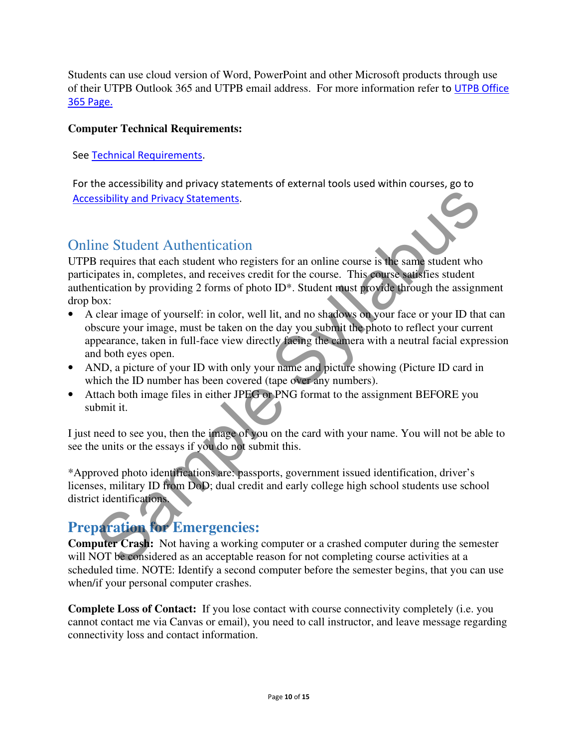Students can use cloud version of Word, PowerPoint and other Microsoft products through use of their UTPB Outlook 365 and UTPB email address. For more information refer to UTPB Office 365 Page.

#### **Computer Technical Requirements:**

See Technical Requirements.

For the accessibility and privacy statements of external tools used within courses, go to Accessibility and Privacy Statements.

### Online Student Authentication

UTPB requires that each student who registers for an online course is the same student who participates in, completes, and receives credit for the course. This course satisfies student authentication by providing 2 forms of photo ID\*. Student must provide through the assignment drop box: Sample Statements.<br>
The Studient Authentication<br>
The Studient Authentication<br>
The Studient Authentication<br>
The Studient who registers for an online course is the same student who<br>
practices in, completes, and receives cred

- A clear image of yourself: in color, well lit, and no shadows on your face or your ID that can obscure your image, must be taken on the day you submit the photo to reflect your current appearance, taken in full-face view directly facing the camera with a neutral facial expression and both eyes open.
- AND, a picture of your ID with only your name and picture showing (Picture ID card in which the ID number has been covered (tape over any numbers).
- Attach both image files in either JPEG or PNG format to the assignment BEFORE you submit it.

I just need to see you, then the image of you on the card with your name. You will not be able to see the units or the essays if you do not submit this.

\*Approved photo identifications are: passports, government issued identification, driver's licenses, military ID from DoD; dual credit and early college high school students use school district identifications.

# **Preparation for Emergencies:**

**Computer Crash:** Not having a working computer or a crashed computer during the semester will NOT be considered as an acceptable reason for not completing course activities at a scheduled time. NOTE: Identify a second computer before the semester begins, that you can use when/if your personal computer crashes.

**Complete Loss of Contact:** If you lose contact with course connectivity completely (i.e. you cannot contact me via Canvas or email), you need to call instructor, and leave message regarding connectivity loss and contact information.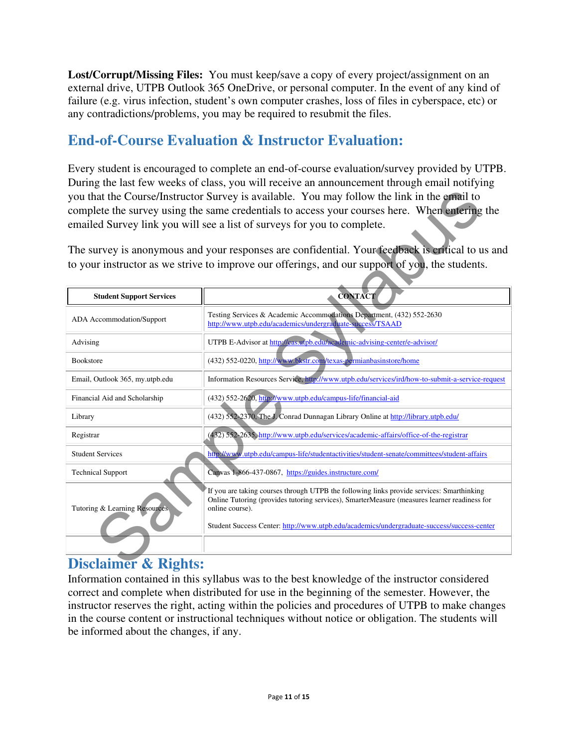**Lost/Corrupt/Missing Files:** You must keep/save a copy of every project/assignment on an external drive, UTPB Outlook 365 OneDrive, or personal computer. In the event of any kind of failure (e.g. virus infection, student's own computer crashes, loss of files in cyberspace, etc) or any contradictions/problems, you may be required to resubmit the files.

### **End-of-Course Evaluation & Instructor Evaluation:**

Every student is encouraged to complete an end-of-course evaluation/survey provided by UTPB. During the last few weeks of class, you will receive an announcement through email notifying you that the Course/Instructor Survey is available. You may follow the link in the email to complete the survey using the same credentials to access your courses here. When entering the emailed Survey link you will see a list of surveys for you to complete.

| you that the Course/Instructor Survey is available. You may follow the link in the email to<br>complete the survey using the same credentials to access your courses here. When entering the<br>emailed Survey link you will see a list of surveys for you to complete.                                                                     |                                                                                                                                                                                                     |  |  |  |
|---------------------------------------------------------------------------------------------------------------------------------------------------------------------------------------------------------------------------------------------------------------------------------------------------------------------------------------------|-----------------------------------------------------------------------------------------------------------------------------------------------------------------------------------------------------|--|--|--|
|                                                                                                                                                                                                                                                                                                                                             | The survey is anonymous and your responses are confidential. Your feedback is critical to us and<br>to your instructor as we strive to improve our offerings, and our support of you, the students. |  |  |  |
| <b>Student Support Services</b>                                                                                                                                                                                                                                                                                                             | <b>CONTACT</b>                                                                                                                                                                                      |  |  |  |
| <b>ADA</b> Accommodation/Support                                                                                                                                                                                                                                                                                                            | Testing Services & Academic Accommodations Department, (432) 552-2630<br>http://www.utpb.edu/academics/undergraduate-success/TSAAD                                                                  |  |  |  |
| Advising                                                                                                                                                                                                                                                                                                                                    | UTPB E-Advisor at http://cas.utpb.edu/academic-advising-center/e-advisor/                                                                                                                           |  |  |  |
| <b>Bookstore</b>                                                                                                                                                                                                                                                                                                                            | (432) 552-0220, http://www.bkstr.com/texas-permianbasinstore/home                                                                                                                                   |  |  |  |
| Email, Outlook 365, my.utpb.edu                                                                                                                                                                                                                                                                                                             | Information Resources Service, http://www.utpb.edu/services/ird/how-to-submit-a-service-request                                                                                                     |  |  |  |
| Financial Aid and Scholarship                                                                                                                                                                                                                                                                                                               | (432) 552-2620, http://www.utpb.edu/campus-life/financial-aid                                                                                                                                       |  |  |  |
| Library                                                                                                                                                                                                                                                                                                                                     | (432) 552-2370, The J. Conrad Dunnagan Library Online at http://library.utpb.edu/                                                                                                                   |  |  |  |
| Registrar                                                                                                                                                                                                                                                                                                                                   | (432) 552-2635, http://www.utpb.edu/services/academic-affairs/office-of-the-registrar                                                                                                               |  |  |  |
| <b>Student Services</b>                                                                                                                                                                                                                                                                                                                     | http://www.utpb.edu/campus-life/studentactivities/student-senate/committees/student-affairs                                                                                                         |  |  |  |
| <b>Technical Support</b><br>Canvas 1-866-437-0867, https://guides.instructure.com/                                                                                                                                                                                                                                                          |                                                                                                                                                                                                     |  |  |  |
| If you are taking courses through UTPB the following links provide services: Smarthinking<br>Online Tutoring (provides tutoring services), SmarterMeasure (measures learner readiness for<br>Tutoring & Learning Resources<br>online course).<br>Student Success Center: http://www.utpb.edu/academics/undergraduate-success/success-center |                                                                                                                                                                                                     |  |  |  |
| <b>Disclaimer &amp; Rights:</b>                                                                                                                                                                                                                                                                                                             |                                                                                                                                                                                                     |  |  |  |

### **Disclaimer & Rights:**

Information contained in this syllabus was to the best knowledge of the instructor considered correct and complete when distributed for use in the beginning of the semester. However, the instructor reserves the right, acting within the policies and procedures of UTPB to make changes in the course content or instructional techniques without notice or obligation. The students will be informed about the changes, if any.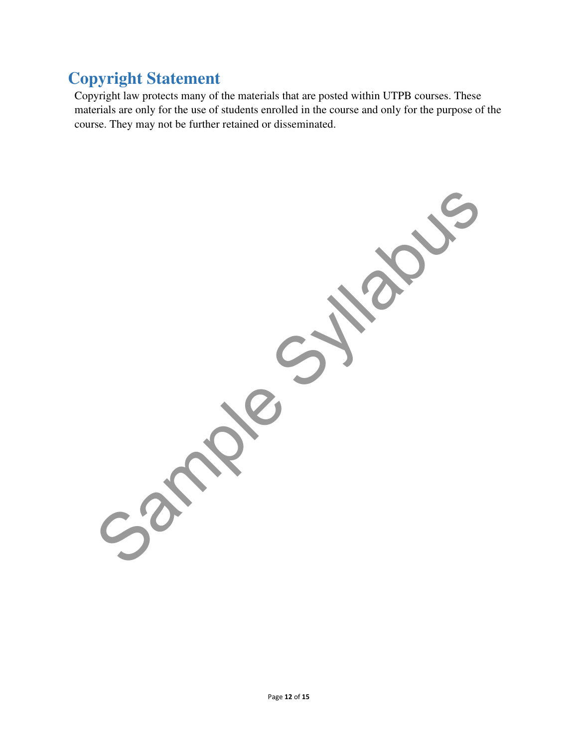# **Copyright Statement**

Copyright law protects many of the materials that are posted within UTPB courses. These materials are only for the use of students enrolled in the course and only for the purpose of the course. They may not be further retained or disseminated.

Samples Sylves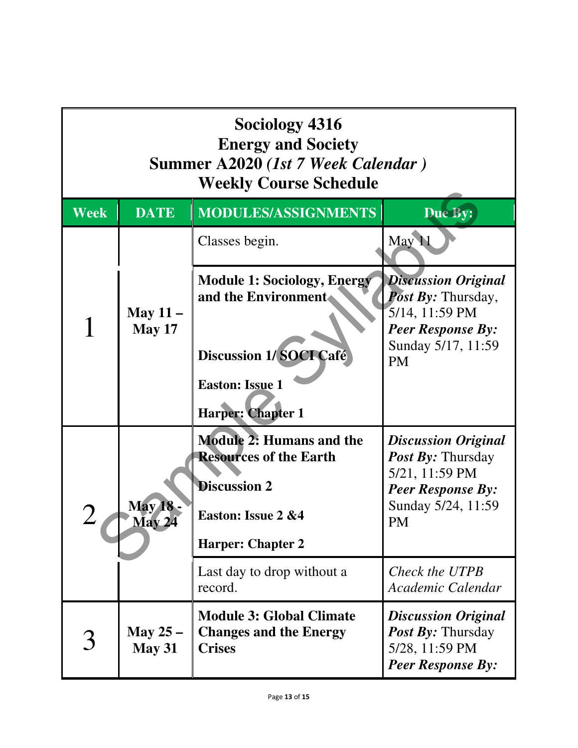| Sociology 4316<br><b>Energy and Society</b><br>Summer A2020 (1st 7 Week Calendar)<br><b>Weekly Course Schedule</b> |                             |                                                                                                                                           |                                                                                                                                         |
|--------------------------------------------------------------------------------------------------------------------|-----------------------------|-------------------------------------------------------------------------------------------------------------------------------------------|-----------------------------------------------------------------------------------------------------------------------------------------|
| Week                                                                                                               | <b>DATE</b>                 | MODULES/ASSIGNMENTS                                                                                                                       | Due By:                                                                                                                                 |
|                                                                                                                    |                             | Classes begin.                                                                                                                            | May 11                                                                                                                                  |
|                                                                                                                    | May $11 -$<br><b>May 17</b> | <b>Module 1: Sociology, Energy</b><br>and the Environment.                                                                                | <b>Discussion Original</b><br><b>Post By: Thursday,</b><br>5/14, 11:59 PM<br><b>Peer Response By:</b><br>Sunday 5/17, 11:59             |
|                                                                                                                    |                             | <b>Discussion 1/SOCI Café</b><br><b>Easton: Issue 1</b><br><b>Harper: Chapter 1</b>                                                       | <b>PM</b>                                                                                                                               |
|                                                                                                                    | May 18<br>May 24            | <b>Module 2: Humans and the</b><br><b>Resources of the Earth</b><br><b>Discussion 2</b><br>Easton: Issue 2 &4<br><b>Harper: Chapter 2</b> | <b>Discussion Original</b><br><b>Post By: Thursday</b><br>5/21, 11:59 PM<br><b>Peer Response By:</b><br>Sunday 5/24, 11:59<br><b>PM</b> |
|                                                                                                                    |                             | Last day to drop without a<br>record.                                                                                                     | Check the UTPB<br>Academic Calendar                                                                                                     |
|                                                                                                                    | May $25-$<br><b>May 31</b>  | <b>Module 3: Global Climate</b><br><b>Changes and the Energy</b><br><b>Crises</b>                                                         | <b>Discussion Original</b><br><b>Post By: Thursday</b><br>5/28, 11:59 PM<br><b>Peer Response By:</b>                                    |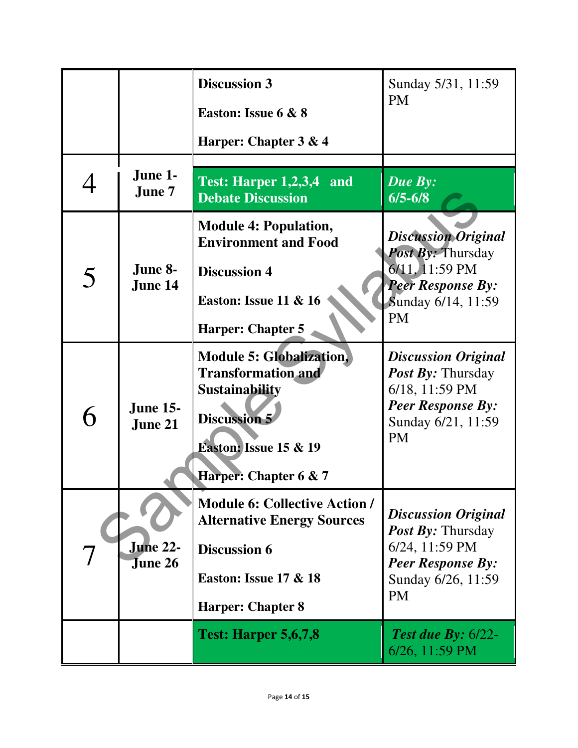|   |                                   | <b>Discussion 3</b>                                                                                                                                                       | Sunday 5/31, 11:59                                                                                                                      |
|---|-----------------------------------|---------------------------------------------------------------------------------------------------------------------------------------------------------------------------|-----------------------------------------------------------------------------------------------------------------------------------------|
|   |                                   | Easton: Issue 6 & 8                                                                                                                                                       | <b>PM</b>                                                                                                                               |
|   |                                   | Harper: Chapter 3 & 4                                                                                                                                                     |                                                                                                                                         |
|   | June 1-<br>June 7                 | Test: Harper 1,2,3,4 and<br><b>Debate Discussion</b>                                                                                                                      | <b>Due By:</b><br>$6/5 - 6/8$                                                                                                           |
|   |                                   | <b>Module 4: Population,</b><br><b>Environment and Food</b>                                                                                                               | <b>Discussion Original</b><br><b>Post By: Thursday</b>                                                                                  |
| 5 | June 8-<br>June 14                | <b>Discussion 4</b>                                                                                                                                                       | 6/11, 11:59 PM<br><b>Peer Response By:</b>                                                                                              |
|   |                                   | <b>Easton: Issue 11 &amp; 16</b><br><b>Harper: Chapter 5</b>                                                                                                              | Sunday 6/14, 11:59<br><b>PM</b>                                                                                                         |
|   | <b>June 15-</b><br>June 21        | <b>Module 5: Globalization,</b><br><b>Transformation and</b><br><b>Sustainability</b><br><b>Discussion 5</b><br><b>Easton: Issue 15 &amp; 19</b><br>Harper: Chapter 6 & 7 | <b>Discussion Original</b><br><b>Post By: Thursday</b><br>6/18, 11:59 PM<br><b>Peer Response By:</b><br>Sunday 6/21, 11:59<br><b>PM</b> |
|   | <b>June 22-</b><br><b>June 26</b> | <b>Module 6: Collective Action /</b><br><b>Alternative Energy Sources</b><br><b>Discussion 6</b><br><b>Easton: Issue 17 &amp; 18</b><br><b>Harper: Chapter 8</b>          | <b>Discussion Original</b><br><b>Post By: Thursday</b><br>6/24, 11:59 PM<br><b>Peer Response By:</b><br>Sunday 6/26, 11:59<br><b>PM</b> |
|   |                                   | <b>Test: Harper 5,6,7,8</b>                                                                                                                                               | <b>Test due By:</b> $6/22$ -<br>6/26, 11:59 PM                                                                                          |